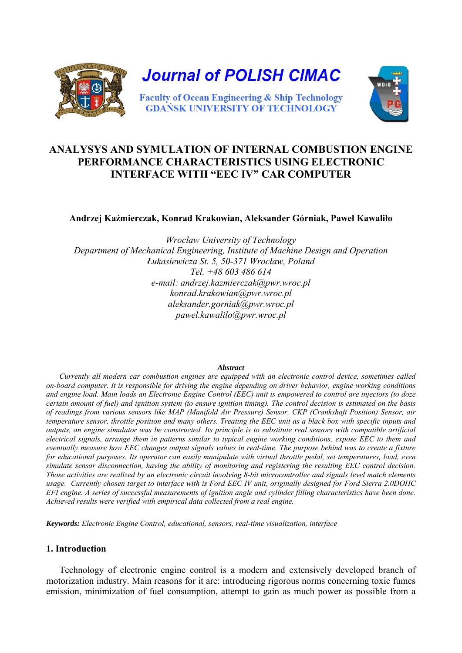

# **ANALYSYS AND SYMULATION OF INTERNAL COMBUSTION ENGINE PERFORMANCE CHARACTERISTICS USING ELECTRONIC INTERFACE WITH "EEC IV" CAR COMPUTER**

**Andrzej Kaźmierczak, Konrad Krakowian, Aleksander Górniak, Paweł Kawaliło** 

*Wroclaw University of Technology Department of Mechanical Engineering, Institute of Machine Design and Operation Łukasiewicza St. 5, 50-371 Wrocław, Poland Tel. +48 603 486 614 e-mail: andrzej.kazmierczak@pwr.wroc.pl konrad.krakowian@pwr.wroc.pl aleksander.gorniak@pwr.wroc.pl pawel.kawalilo@pwr.wroc.pl* 

#### *Abstract*

 *Currently all modern car combustion engines are equipped with an electronic control device, sometimes called on-board computer. It is responsible for driving the engine depending on driver behavior, engine working conditions and engine load. Main loads an Electronic Engine Control (EEC) unit is empowered to control are injectors (to doze certain amount of fuel) and ignition system (to ensure ignition timing). The control decision is estimated on the basis of readings from various sensors like MAP (Manifold Air Pressure) Sensor, CKP (Crankshaft Position) Sensor, air temperature sensor, throttle position and many others. Treating the EEC unit as a black box with specific inputs and outputs, an engine simulator was be constructed. Its principle is to substitute real sensors with compatible artificial electrical signals, arrange them in patterns similar to typical engine working conditions, expose EEC to them and eventually measure how EEC changes output signals values in real-time. The purpose behind was to create a fixture for educational purposes. Its operator can easily manipulate with virtual throttle pedal, set temperatures, load, even simulate sensor disconnection, having the ability of monitoring and registering the resulting EEC control decision. Those activities are realized by an electronic circuit involving 8-bit microcontroller and signals level match elements usage. Currently chosen target to interface with is Ford EEC IV unit, originally designed for Ford Sierra 2.0DOHC EFI engine. A series of successful measurements of ignition angle and cylinder filling characteristics have been done. Achieved results were verified with empirical data collected from a real engine.* 

*Keywords: Electronic Engine Control, educational, sensors, real-time visualization, interface* 

## **1. Introduction**

 Technology of electronic engine control is a modern and extensively developed branch of motorization industry. Main reasons for it are: introducing rigorous norms concerning toxic fumes emission, minimization of fuel consumption, attempt to gain as much power as possible from a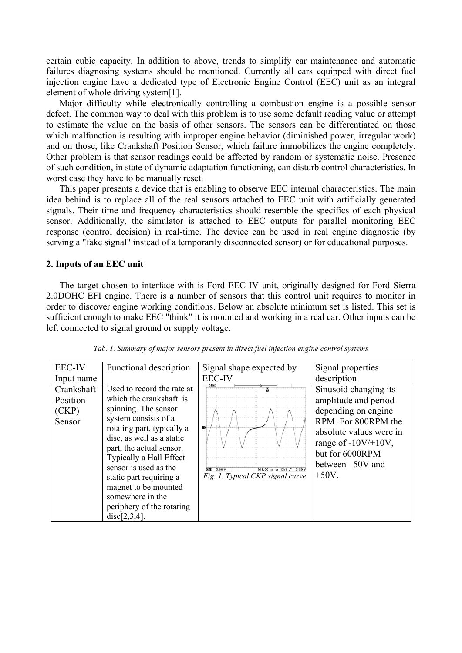certain cubic capacity. In addition to above, trends to simplify car maintenance and automatic failures diagnosing systems should be mentioned. Currently all cars equipped with direct fuel injection engine have a dedicated type of Electronic Engine Control (EEC) unit as an integral element of whole driving system[1].

 Major difficulty while electronically controlling a combustion engine is a possible sensor defect. The common way to deal with this problem is to use some default reading value or attempt to estimate the value on the basis of other sensors. The sensors can be differentiated on those which malfunction is resulting with improper engine behavior (diminished power, irregular work) and on those, like Crankshaft Position Sensor, which failure immobilizes the engine completely. Other problem is that sensor readings could be affected by random or systematic noise. Presence of such condition, in state of dynamic adaptation functioning, can disturb control characteristics. In worst case they have to be manually reset.

 This paper presents a device that is enabling to observe EEC internal characteristics. The main idea behind is to replace all of the real sensors attached to EEC unit with artificially generated signals. Their time and frequency characteristics should resemble the specifics of each physical sensor. Additionally, the simulator is attached to EEC outputs for parallel monitoring EEC response (control decision) in real-time. The device can be used in real engine diagnostic (by serving a "fake signal" instead of a temporarily disconnected sensor) or for educational purposes.

## **2. Inputs of an EEC unit**

 The target chosen to interface with is Ford EEC-IV unit, originally designed for Ford Sierra 2.0DOHC EFI engine. There is a number of sensors that this control unit requires to monitor in order to discover engine working conditions. Below an absolute minimum set is listed. This set is sufficient enough to make EEC "think" it is mounted and working in a real car. Other inputs can be left connected to signal ground or supply voltage.

| <b>EEC-IV</b>                             | Functional description                                                                                                                                                                                                                                                                                                                                               | Signal shape expected by                                                                             | Signal properties                                                                                                                                                                                   |
|-------------------------------------------|----------------------------------------------------------------------------------------------------------------------------------------------------------------------------------------------------------------------------------------------------------------------------------------------------------------------------------------------------------------------|------------------------------------------------------------------------------------------------------|-----------------------------------------------------------------------------------------------------------------------------------------------------------------------------------------------------|
| Input name                                |                                                                                                                                                                                                                                                                                                                                                                      | <b>EEC-IV</b>                                                                                        | description                                                                                                                                                                                         |
| Crankshaft<br>Position<br>(CKP)<br>Sensor | Used to record the rate at<br>which the crankshaft is<br>spinning. The sensor<br>system consists of a<br>rotating part, typically a<br>disc, as well as a static<br>part, the actual sensor.<br>Typically a Hall Effect<br>sensor is used as the<br>static part requiring a<br>magnet to be mounted<br>somewhere in the<br>periphery of the rotating<br>disc[2,3,4]. | Stop<br>D<br><b>Mill</b> 5.00 V<br>$M1,00ms$ A Ch1 $J$<br>3.80 V<br>Fig. 1. Typical CKP signal curve | Sinusoid changing its<br>amplitude and period<br>depending on engine<br>RPM. For 800RPM the<br>absolute values were in<br>range of $-10V/+10V$ ,<br>but for 6000RPM<br>between -50V and<br>$+50V$ . |

*Tab. 1. Summary of major sensors present in direct fuel injection engine control systems*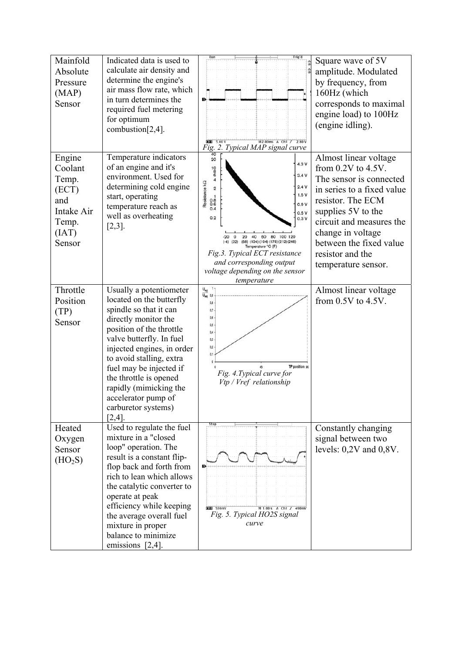| Mainfold<br>Absolute<br>Pressure<br>(MAP)<br>Sensor                                  | Indicated data is used to<br>calculate air density and<br>determine the engine's<br>air mass flow rate, which<br>in turn determines the<br>required fuel metering<br>for optimum<br>combustion[2,4].                                                                                                                                                              | Run<br>M2.00ms A Ch1 5 2.80 V<br>$\overline{3}$ 5.00 V<br>Fig. 2. Typical MAP signal curve                                                                                                                                                                                                                                                                                                                               | Square wave of 5V<br>amplitude. Modulated<br>by frequency, from<br>160Hz (which<br>corresponds to maximal<br>engine load) to 100Hz<br>(engine idling).                                                                                                                      |
|--------------------------------------------------------------------------------------|-------------------------------------------------------------------------------------------------------------------------------------------------------------------------------------------------------------------------------------------------------------------------------------------------------------------------------------------------------------------|--------------------------------------------------------------------------------------------------------------------------------------------------------------------------------------------------------------------------------------------------------------------------------------------------------------------------------------------------------------------------------------------------------------------------|-----------------------------------------------------------------------------------------------------------------------------------------------------------------------------------------------------------------------------------------------------------------------------|
| Engine<br>Coolant<br>Temp.<br>(ECT)<br>and<br>Intake Air<br>Temp.<br>(IAT)<br>Sensor | Temperature indicators<br>of an engine and it's<br>environment. Used for<br>determining cold engine<br>start, operating<br>temperature reach as<br>well as overheating<br>$[2,3]$ .                                                                                                                                                                               | 40<br>20<br>4.3 V<br>$\begin{array}{c}\n10 \\ 10 \\ 6 \\ 4\n\end{array}$<br>3.4V<br>Resistance kΩ<br>2.4V<br>$\,2\,$<br>1.5V<br>$0.8$<br>$0.6$<br>$0.4$<br>0.9 V<br>0.5V<br>0.2<br>0.3V<br>80 100 120<br>$\Omega$<br>20<br>60<br>40<br>(-4) (32) (68) (104) (104) (176) (212) (248)<br>Temperature °C (F)<br>Fig.3. Typical ECT resistance<br>and corresponding output<br>voltage depending on the sensor<br>temperature | Almost linear voltage<br>from $0.2V$ to $4.5V$ .<br>The sensor is connected<br>in series to a fixed value<br>resistor. The ECM<br>supplies 5V to the<br>circuit and measures the<br>change in voltage<br>between the fixed value<br>resistor and the<br>temperature sensor. |
| Throttle<br>Position<br>(TP)<br>Sensor                                               | Usually a potentiometer<br>located on the butterfly<br>spindle so that it can<br>directly monitor the<br>position of the throttle<br>valve butterfly. In fuel<br>injected engines, in order<br>to avoid stalling, extra<br>fuel may be injected if<br>the throttle is opened<br>rapidly (mimicking the<br>accelerator pump of<br>carburetor systems)<br>$[2,4]$ . | $\frac{U_{wqj}}{U_{wqj}}$ 0,9<br>0,8<br>0,7<br>0,6<br>0.5<br>0,4<br>0,3<br>0.2<br>0.1<br>TP position so<br>Fig. 4. Typical curve for<br>Vtp / Vref relationship                                                                                                                                                                                                                                                          | Almost linear voltage<br>from $0.5V$ to $4.5V$ .                                                                                                                                                                                                                            |
| Heated<br>Oxygen<br>Sensor<br>(HO <sub>2</sub> S)                                    | Used to regulate the fuel<br>mixture in a "closed<br>loop" operation. The<br>result is a constant flip-<br>flop back and forth from<br>rich to lean which allows<br>the catalytic converter to<br>operate at peak<br>efficiency while keeping<br>the average overall fuel<br>mixture in proper<br>balance to minimize<br>emissions $[2,4]$ .                      | Stop<br>$\overline{\text{min}}$ soomv<br>M 1.00 s A Ch1 / 490mV<br>Fig. 5. Typical HO2S signal<br>curve                                                                                                                                                                                                                                                                                                                  | Constantly changing<br>signal between two<br>levels: $0,2V$ and $0,8V$ .                                                                                                                                                                                                    |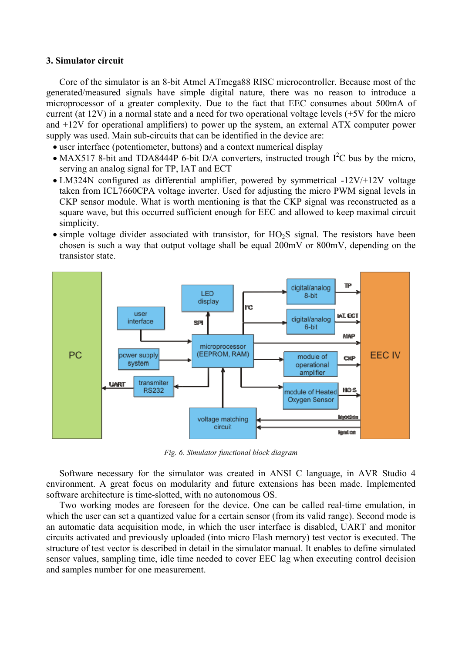## **3. Simulator circuit**

 Core of the simulator is an 8-bit Atmel ATmega88 RISC microcontroller. Because most of the generated/measured signals have simple digital nature, there was no reason to introduce a microprocessor of a greater complexity. Due to the fact that EEC consumes about 500mA of current (at 12V) in a normal state and a need for two operational voltage levels (+5V for the micro and +12V for operational amplifiers) to power up the system, an external ATX computer power supply was used. Main sub-circuits that can be identified in the device are:

- user interface (potentiometer, buttons) and a context numerical display
- MAX517 8-bit and TDA8444P 6-bit D/A converters, instructed trough  $I^2C$  bus by the micro, serving an analog signal for TP, IAT and ECT
- LM324N configured as differential amplifier, powered by symmetrical -12V/+12V voltage taken from ICL7660CPA voltage inverter. Used for adjusting the micro PWM signal levels in CKP sensor module. What is worth mentioning is that the CKP signal was reconstructed as a square wave, but this occurred sufficient enough for EEC and allowed to keep maximal circuit simplicity.
- simple voltage divider associated with transistor, for  $HO<sub>2</sub>S$  signal. The resistors have been chosen is such a way that output voltage shall be equal 200mV or 800mV, depending on the transistor state.



*Fig. 6. Simulator functional block diagram* 

 Software necessary for the simulator was created in ANSI C language, in AVR Studio 4 environment. A great focus on modularity and future extensions has been made. Implemented software architecture is time-slotted, with no autonomous OS.

 Two working modes are foreseen for the device. One can be called real-time emulation, in which the user can set a quantized value for a certain sensor (from its valid range). Second mode is an automatic data acquisition mode, in which the user interface is disabled, UART and monitor circuits activated and previously uploaded (into micro Flash memory) test vector is executed. The structure of test vector is described in detail in the simulator manual. It enables to define simulated sensor values, sampling time, idle time needed to cover EEC lag when executing control decision and samples number for one measurement.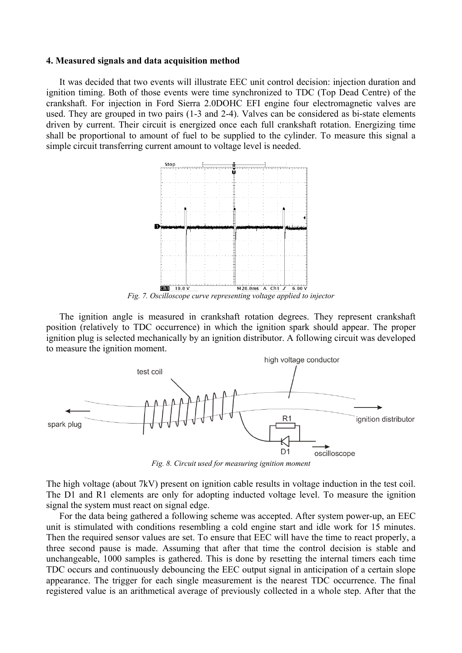#### **4. Measured signals and data acquisition method**

 It was decided that two events will illustrate EEC unit control decision: injection duration and ignition timing. Both of those events were time synchronized to TDC (Top Dead Centre) of the crankshaft. For injection in Ford Sierra 2.0DOHC EFI engine four electromagnetic valves are used. They are grouped in two pairs (1-3 and 2-4). Valves can be considered as bi-state elements driven by current. Their circuit is energized once each full crankshaft rotation. Energizing time shall be proportional to amount of fuel to be supplied to the cylinder. To measure this signal a simple circuit transferring current amount to voltage level is needed.



 The ignition angle is measured in crankshaft rotation degrees. They represent crankshaft position (relatively to TDC occurrence) in which the ignition spark should appear. The proper ignition plug is selected mechanically by an ignition distributor. A following circuit was developed to measure the ignition moment.



*Fig. 8. Circuit used for measuring ignition moment* 

The high voltage (about 7kV) present on ignition cable results in voltage induction in the test coil. The D1 and R1 elements are only for adopting inducted voltage level. To measure the ignition signal the system must react on signal edge.

 For the data being gathered a following scheme was accepted. After system power-up, an EEC unit is stimulated with conditions resembling a cold engine start and idle work for 15 minutes. Then the required sensor values are set. To ensure that EEC will have the time to react properly, a three second pause is made. Assuming that after that time the control decision is stable and unchangeable, 1000 samples is gathered. This is done by resetting the internal timers each time TDC occurs and continuously debouncing the EEC output signal in anticipation of a certain slope appearance. The trigger for each single measurement is the nearest TDC occurrence. The final registered value is an arithmetical average of previously collected in a whole step. After that the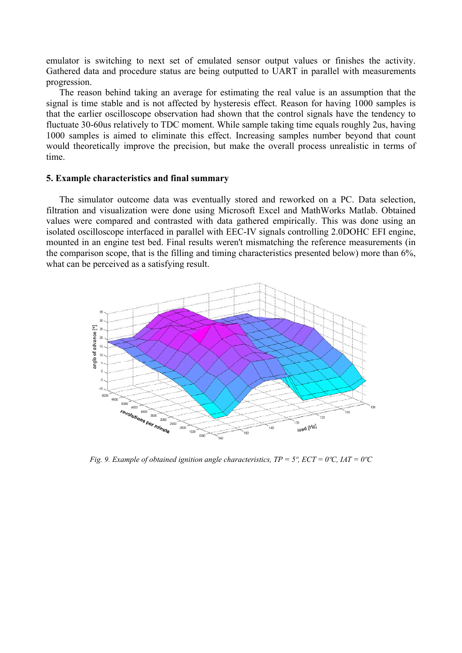emulator is switching to next set of emulated sensor output values or finishes the activity. Gathered data and procedure status are being outputted to UART in parallel with measurements progression.

 The reason behind taking an average for estimating the real value is an assumption that the signal is time stable and is not affected by hysteresis effect. Reason for having 1000 samples is that the earlier oscilloscope observation had shown that the control signals have the tendency to fluctuate 30-60us relatively to TDC moment. While sample taking time equals roughly 2us, having 1000 samples is aimed to eliminate this effect. Increasing samples number beyond that count would theoretically improve the precision, but make the overall process unrealistic in terms of time.

## **5. Example characteristics and final summary**

 The simulator outcome data was eventually stored and reworked on a PC. Data selection, filtration and visualization were done using Microsoft Excel and MathWorks Matlab. Obtained values were compared and contrasted with data gathered empirically. This was done using an isolated oscilloscope interfaced in parallel with EEC-IV signals controlling 2.0DOHC EFI engine, mounted in an engine test bed. Final results weren't mismatching the reference measurements (in the comparison scope, that is the filling and timing characteristics presented below) more than 6%, what can be perceived as a satisfying result.



*Fig. 9. Example of obtained ignition angle characteristics, TP = 5°, ECT = 0°C, IAT = 0°C*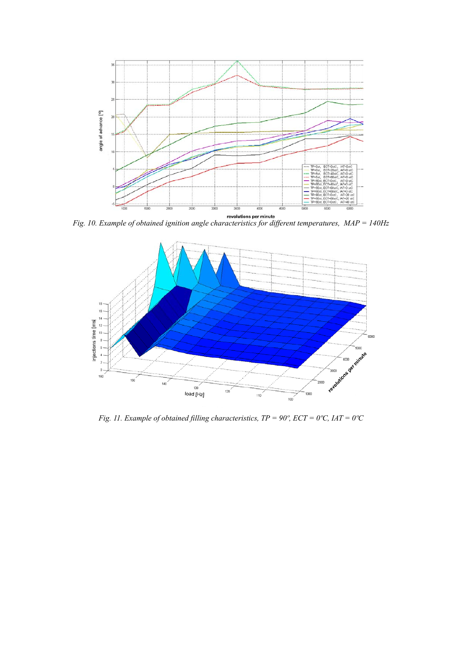

*Fig. 10. Example of obtained ignition angle characteristics for different temperatures, MAP = 140Hz* 



*Fig. 11. Example of obtained filling characteristics, TP = 90°, ECT = 0°C, IAT = 0°C*